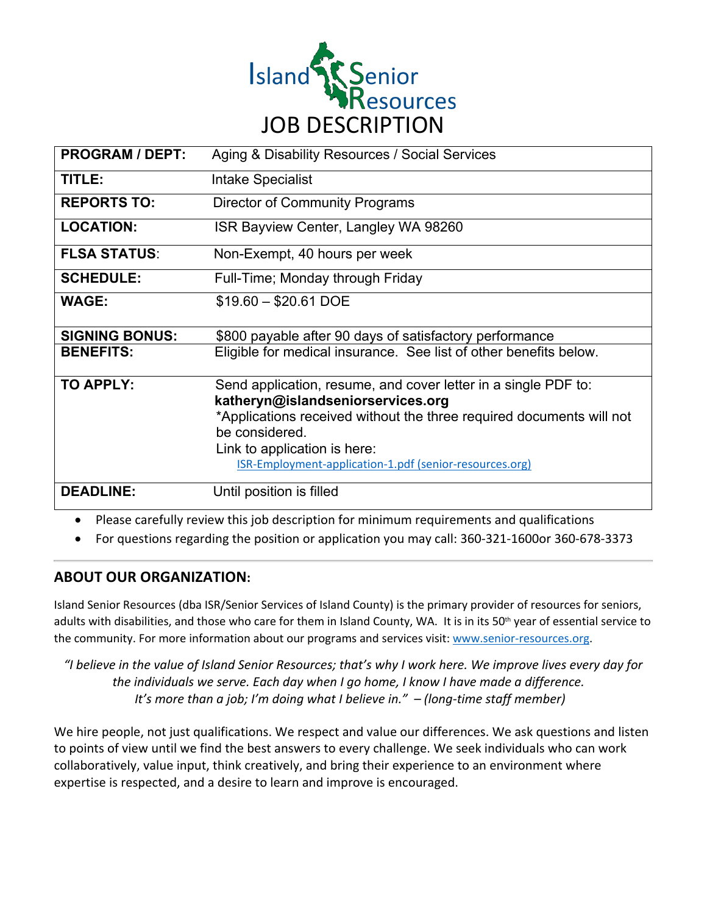

| <b>PROGRAM / DEPT:</b> | Aging & Disability Resources / Social Services                                                                                                                                                                                                                                                  |
|------------------------|-------------------------------------------------------------------------------------------------------------------------------------------------------------------------------------------------------------------------------------------------------------------------------------------------|
| TITLE:                 | Intake Specialist                                                                                                                                                                                                                                                                               |
| <b>REPORTS TO:</b>     | <b>Director of Community Programs</b>                                                                                                                                                                                                                                                           |
| <b>LOCATION:</b>       | ISR Bayview Center, Langley WA 98260                                                                                                                                                                                                                                                            |
| <b>FLSA STATUS:</b>    | Non-Exempt, 40 hours per week                                                                                                                                                                                                                                                                   |
| <b>SCHEDULE:</b>       | Full-Time; Monday through Friday                                                                                                                                                                                                                                                                |
| <b>WAGE:</b>           | $$19.60 - $20.61$ DOE                                                                                                                                                                                                                                                                           |
| <b>SIGNING BONUS:</b>  | \$800 payable after 90 days of satisfactory performance                                                                                                                                                                                                                                         |
| <b>BENEFITS:</b>       | Eligible for medical insurance. See list of other benefits below.                                                                                                                                                                                                                               |
| <b>TO APPLY:</b>       | Send application, resume, and cover letter in a single PDF to:<br>katheryn@islandseniorservices.org<br>*Applications received without the three required documents will not<br>be considered.<br>Link to application is here:<br><b>ISR-Employment-application-1.pdf (senior-resources.org)</b> |
| <b>DEADLINE:</b>       | Until position is filled                                                                                                                                                                                                                                                                        |

• Please carefully review this job description for minimum requirements and qualifications

• For questions regarding the position or application you may call: 360-321-1600or 360-678-3373

## **ABOUT OUR ORGANIZATION:**

Island Senior Resources (dba ISR/Senior Services of Island County) is the primary provider of resources for seniors, adults with disabilities, and those who care for them in Island County, WA. It is in its 50<sup>th</sup> year of essential service to the community. For more information about our programs and services visit: www.senior-resources.org.

*"I believe in the value of Island Senior Resources; that's why I work here. We improve lives every day for the individuals we serve. Each day when I go home, I know I have made a difference.  It's more than a job; I'm doing what I believe in." – (long-time staff member)*

We hire people, not just qualifications. We respect and value our differences. We ask questions and listen to points of view until we find the best answers to every challenge. We seek individuals who can work collaboratively, value input, think creatively, and bring their experience to an environment where expertise is respected, and a desire to learn and improve is encouraged.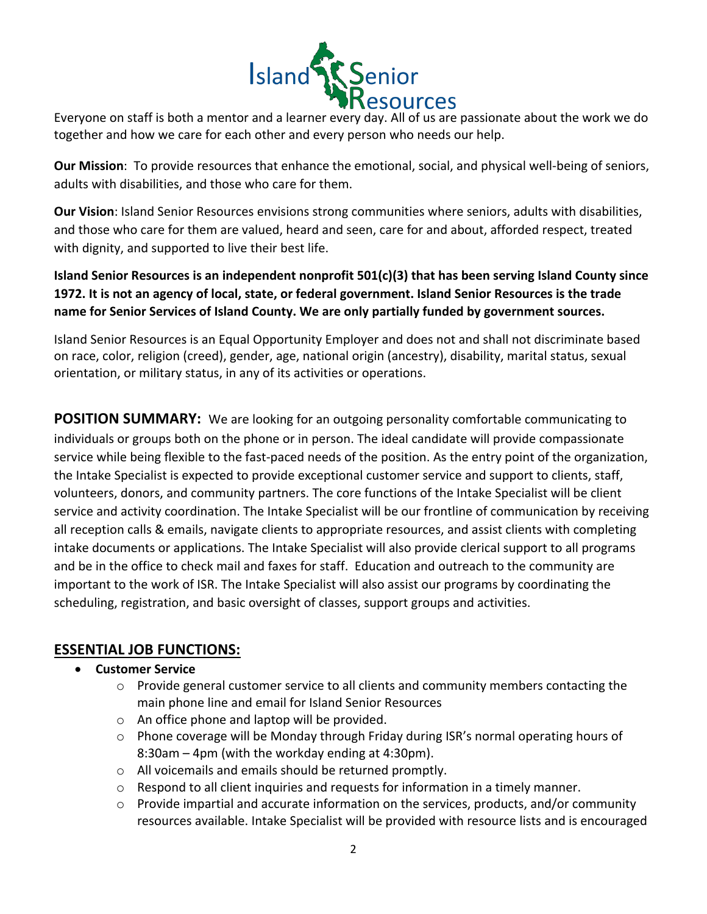

Everyone on staff is both a mentor and a learner every day. All of us are passionate about the work we do together and how we care for each other and every person who needs our help. 

**Our Mission**: To provide resources that enhance the emotional, social, and physical well-being of seniors, adults with disabilities, and those who care for them.

**Our Vision**: Island Senior Resources envisions strong communities where seniors, adults with disabilities, and those who care for them are valued, heard and seen, care for and about, afforded respect, treated with dignity, and supported to live their best life.

**Island Senior Resources is an independent nonprofit 501(c)(3) that has been serving Island County since 1972. It is not an agency of local, state, or federal government. Island Senior Resources is the trade name for Senior Services of Island County. We are only partially funded by government sources.**

Island Senior Resources is an Equal Opportunity Employer and does not and shall not discriminate based on race, color, religion (creed), gender, age, national origin (ancestry), disability, marital status, sexual orientation, or military status, in any of its activities or operations.

**POSITION SUMMARY:** We are looking for an outgoing personality comfortable communicating to individuals or groups both on the phone or in person. The ideal candidate will provide compassionate service while being flexible to the fast-paced needs of the position. As the entry point of the organization, the Intake Specialist is expected to provide exceptional customer service and support to clients, staff, volunteers, donors, and community partners. The core functions of the Intake Specialist will be client service and activity coordination. The Intake Specialist will be our frontline of communication by receiving all reception calls & emails, navigate clients to appropriate resources, and assist clients with completing intake documents or applications. The Intake Specialist will also provide clerical support to all programs and be in the office to check mail and faxes for staff. Education and outreach to the community are important to the work of ISR. The Intake Specialist will also assist our programs by coordinating the scheduling, registration, and basic oversight of classes, support groups and activities.

## **ESSENTIAL JOB FUNCTIONS:**

#### • **Customer Service**

- o Provide general customer service to all clients and community members contacting the main phone line and email for Island Senior Resources
- o An office phone and laptop will be provided.
- o Phone coverage will be Monday through Friday during ISR's normal operating hours of 8:30am – 4pm (with the workday ending at 4:30pm).
- o All voicemails and emails should be returned promptly.
- $\circ$  Respond to all client inquiries and requests for information in a timely manner.
- $\circ$  Provide impartial and accurate information on the services, products, and/or community resources available. Intake Specialist will be provided with resource lists and is encouraged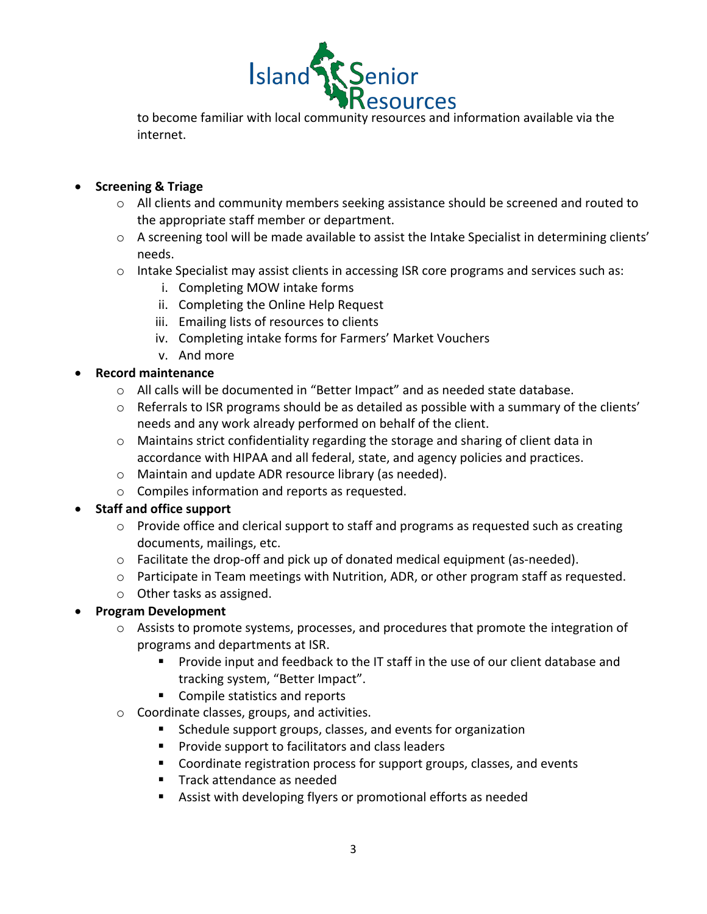

to become familiar with local community resources and information available via the internet.

### • **Screening & Triage**

- o All clients and community members seeking assistance should be screened and routed to the appropriate staff member or department.
- $\circ$  A screening tool will be made available to assist the Intake Specialist in determining clients' needs.
- o Intake Specialist may assist clients in accessing ISR core programs and services such as:
	- i. Completing MOW intake forms
	- ii. Completing the Online Help Request
	- iii. Emailing lists of resources to clients
	- iv. Completing intake forms for Farmers' Market Vouchers
	- v. And more

### • **Record maintenance**

- o All calls will be documented in "Better Impact" and as needed state database.
- $\circ$  Referrals to ISR programs should be as detailed as possible with a summary of the clients' needs and any work already performed on behalf of the client.
- $\circ$  Maintains strict confidentiality regarding the storage and sharing of client data in accordance with HIPAA and all federal, state, and agency policies and practices.
- o Maintain and update ADR resource library (as needed).
- o Compiles information and reports as requested.

## • **Staff and office support**

- o Provide office and clerical support to staff and programs as requested such as creating documents, mailings, etc.
- $\circ$  Facilitate the drop-off and pick up of donated medical equipment (as-needed).
- $\circ$  Participate in Team meetings with Nutrition, ADR, or other program staff as requested.
- o Other tasks as assigned.

#### • **Program Development**

- o Assists to promote systems, processes, and procedures that promote the integration of programs and departments at ISR.
	- § Provide input and feedback to the IT staff in the use of our client database and tracking system, "Better Impact".
	- Compile statistics and reports
- o Coordinate classes, groups, and activities.
	- Schedule support groups, classes, and events for organization
	- Provide support to facilitators and class leaders
	- Coordinate registration process for support groups, classes, and events
	- Track attendance as needed
	- Assist with developing flyers or promotional efforts as needed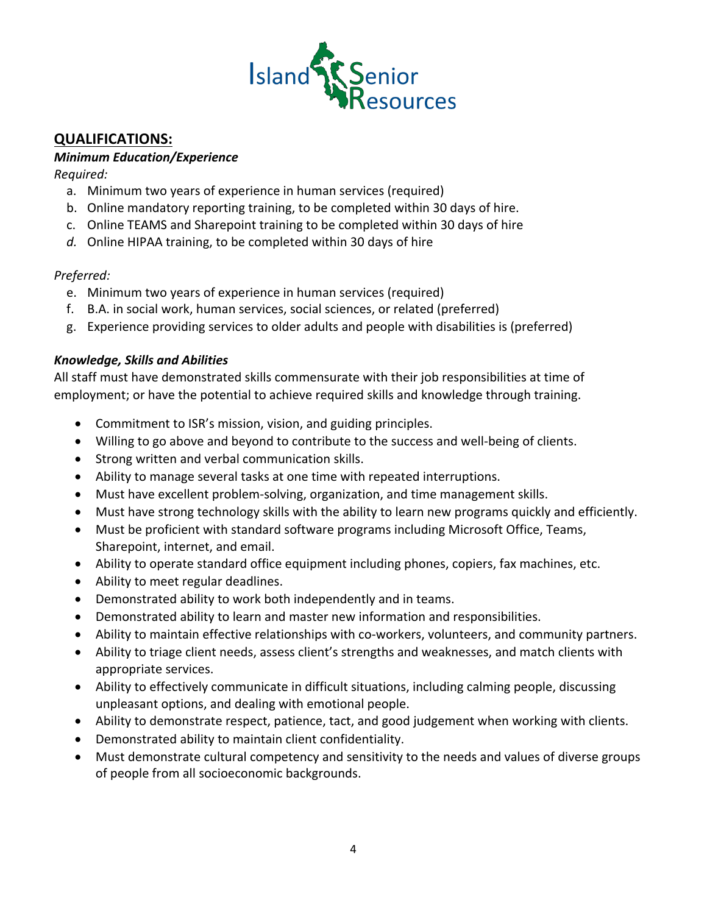

## **QUALIFICATIONS:**

#### *Minimum Education/Experience*

*Required:*

- a. Minimum two years of experience in human services (required)
- b. Online mandatory reporting training, to be completed within 30 days of hire.
- c. Online TEAMS and Sharepoint training to be completed within 30 days of hire
- *d.* Online HIPAA training, to be completed within 30 days of hire

### *Preferred:*

- e. Minimum two years of experience in human services (required)
- f. B.A. in social work, human services, social sciences, or related (preferred)
- g. Experience providing services to older adults and people with disabilities is (preferred)

### *Knowledge, Skills and Abilities*

All staff must have demonstrated skills commensurate with their job responsibilities at time of employment; or have the potential to achieve required skills and knowledge through training.

- Commitment to ISR's mission, vision, and guiding principles.
- Willing to go above and beyond to contribute to the success and well-being of clients.
- Strong written and verbal communication skills.
- Ability to manage several tasks at one time with repeated interruptions.
- Must have excellent problem-solving, organization, and time management skills.
- Must have strong technology skills with the ability to learn new programs quickly and efficiently.
- Must be proficient with standard software programs including Microsoft Office, Teams, Sharepoint, internet, and email.
- Ability to operate standard office equipment including phones, copiers, fax machines, etc.
- Ability to meet regular deadlines.
- Demonstrated ability to work both independently and in teams.
- Demonstrated ability to learn and master new information and responsibilities.
- Ability to maintain effective relationships with co-workers, volunteers, and community partners.
- Ability to triage client needs, assess client's strengths and weaknesses, and match clients with appropriate services.
- Ability to effectively communicate in difficult situations, including calming people, discussing unpleasant options, and dealing with emotional people.
- Ability to demonstrate respect, patience, tact, and good judgement when working with clients.
- Demonstrated ability to maintain client confidentiality.
- Must demonstrate cultural competency and sensitivity to the needs and values of diverse groups of people from all socioeconomic backgrounds.